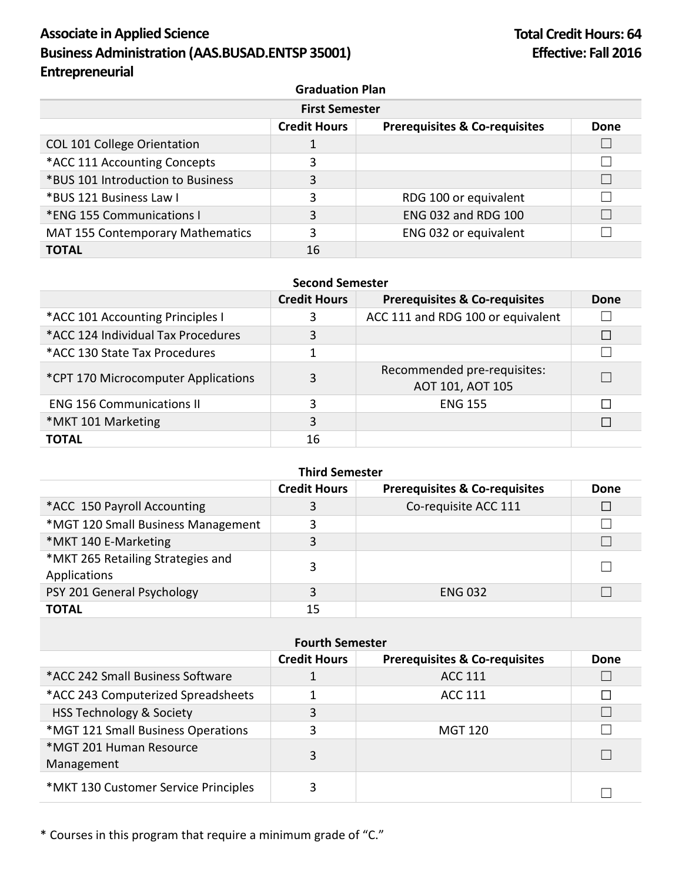## **Associate in Applied Science Business Administration (AAS.BUSAD.ENTSP 35001) Entrepreneurial**

| <b>First Semester</b>                   |                     |                                          |      |
|-----------------------------------------|---------------------|------------------------------------------|------|
|                                         | <b>Credit Hours</b> | <b>Prerequisites &amp; Co-requisites</b> | Done |
| <b>COL 101 College Orientation</b>      |                     |                                          |      |
| *ACC 111 Accounting Concepts            | 3                   |                                          |      |
| *BUS 101 Introduction to Business       | 3                   |                                          |      |
| *BUS 121 Business Law I                 | 3                   | RDG 100 or equivalent                    |      |
| *ENG 155 Communications I               | 3                   | <b>ENG 032 and RDG 100</b>               |      |
| <b>MAT 155 Contemporary Mathematics</b> | 3                   | ENG 032 or equivalent                    |      |
| <b>TOTAL</b>                            | 16                  |                                          |      |

### **Second Semester**

|                                     | <b>Credit Hours</b> | <b>Prerequisites &amp; Co-requisites</b>        | Done   |
|-------------------------------------|---------------------|-------------------------------------------------|--------|
| *ACC 101 Accounting Principles I    | 3                   | ACC 111 and RDG 100 or equivalent               |        |
| *ACC 124 Individual Tax Procedures  | 3                   |                                                 | $\Box$ |
| *ACC 130 State Tax Procedures       |                     |                                                 |        |
| *CPT 170 Microcomputer Applications | 3                   | Recommended pre-requisites:<br>AOT 101, AOT 105 |        |
| <b>ENG 156 Communications II</b>    | 3                   | <b>ENG 155</b>                                  | П      |
| *MKT 101 Marketing                  | 3                   |                                                 |        |
| <b>TOTAL</b>                        | 16                  |                                                 |        |

## **Third Semester**

|                                                   | <b>Credit Hours</b> | <b>Prerequisites &amp; Co-requisites</b> | <b>Done</b> |
|---------------------------------------------------|---------------------|------------------------------------------|-------------|
| *ACC 150 Payroll Accounting                       |                     | Co-requisite ACC 111                     |             |
| *MGT 120 Small Business Management                | 3                   |                                          |             |
| *MKT 140 E-Marketing                              | 3                   |                                          |             |
| *MKT 265 Retailing Strategies and<br>Applications | 3                   |                                          |             |
| PSY 201 General Psychology                        | 3                   | <b>ENG 032</b>                           |             |
| <b>TOTAL</b>                                      | 15                  |                                          |             |

|                                       | <b>Fourth Semester</b> |                                          |      |
|---------------------------------------|------------------------|------------------------------------------|------|
|                                       | <b>Credit Hours</b>    | <b>Prerequisites &amp; Co-requisites</b> | Done |
| *ACC 242 Small Business Software      |                        | ACC 111                                  |      |
| *ACC 243 Computerized Spreadsheets    |                        | ACC 111                                  |      |
| <b>HSS Technology &amp; Society</b>   | 3                      |                                          |      |
| *MGT 121 Small Business Operations    | 3                      | MGT 120                                  |      |
| *MGT 201 Human Resource<br>Management | 3                      |                                          |      |
| *MKT 130 Customer Service Principles  | 3                      |                                          |      |

\* Courses in this program that require a minimum grade of "C."